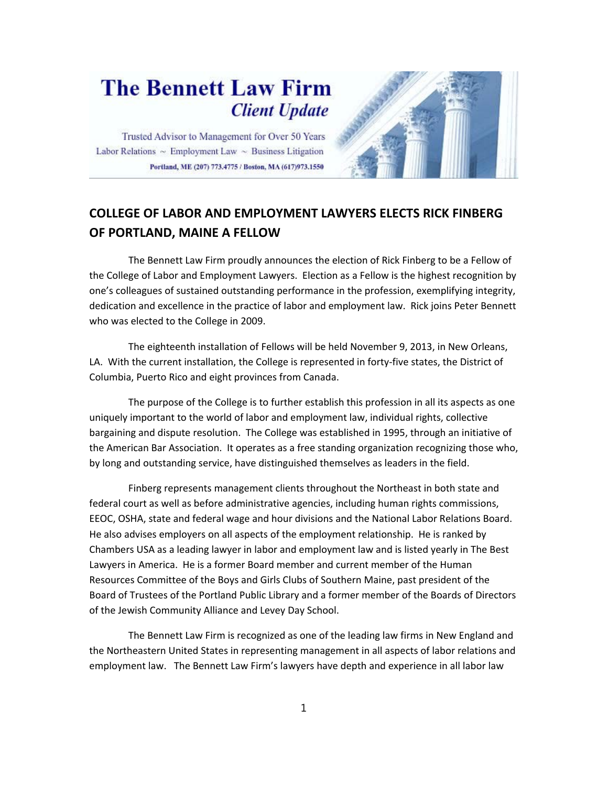## **The Bennett Law Firm Client Update**

Trusted Advisor to Management for Over 50 Years Labor Relations  $\sim$  Employment Law  $\sim$  Business Litigation Portland, ME (207) 773.4775 / Boston, MA (617)973.1550



## **COLLEGE OF LABOR AND EMPLOYMENT LAWYERS ELECTS RICK FINBERG OF PORTLAND, MAINE A FELLOW**

 The Bennett Law Firm proudly announces the election of Rick Finberg to be a Fellow of the College of Labor and Employment Lawyers. Election as a Fellow is the highest recognition by one's colleagues of sustained outstanding performance in the profession, exemplifying integrity, dedication and excellence in the practice of labor and employment law. Rick joins Peter Bennett who was elected to the College in 2009.

 The eighteenth installation of Fellows will be held November 9, 2013, in New Orleans, LA. With the current installation, the College is represented in forty-five states, the District of Columbia, Puerto Rico and eight provinces from Canada.

 The purpose of the College is to further establish this profession in all its aspects as one uniquely important to the world of labor and employment law, individual rights, collective bargaining and dispute resolution. The College was established in 1995, through an initiative of the American Bar Association. It operates as a free standing organization recognizing those who, by long and outstanding service, have distinguished themselves as leaders in the field.

 Finberg represents management clients throughout the Northeast in both state and federal court as well as before administrative agencies, including human rights commissions, EEOC, OSHA, state and federal wage and hour divisions and the National Labor Relations Board. He also advises employers on all aspects of the employment relationship. He is ranked by Chambers USA as a leading lawyer in labor and employment law and is listed yearly in The Best Lawyers in America. He is a former Board member and current member of the Human Resources Committee of the Boys and Girls Clubs of Southern Maine, past president of the Board of Trustees of the Portland Public Library and a former member of the Boards of Directors of the Jewish Community Alliance and Levey Day School.

 The Bennett Law Firm is recognized as one of the leading law firms in New England and the Northeastern United States in representing management in all aspects of labor relations and employment law. The Bennett Law Firm's lawyers have depth and experience in all labor law